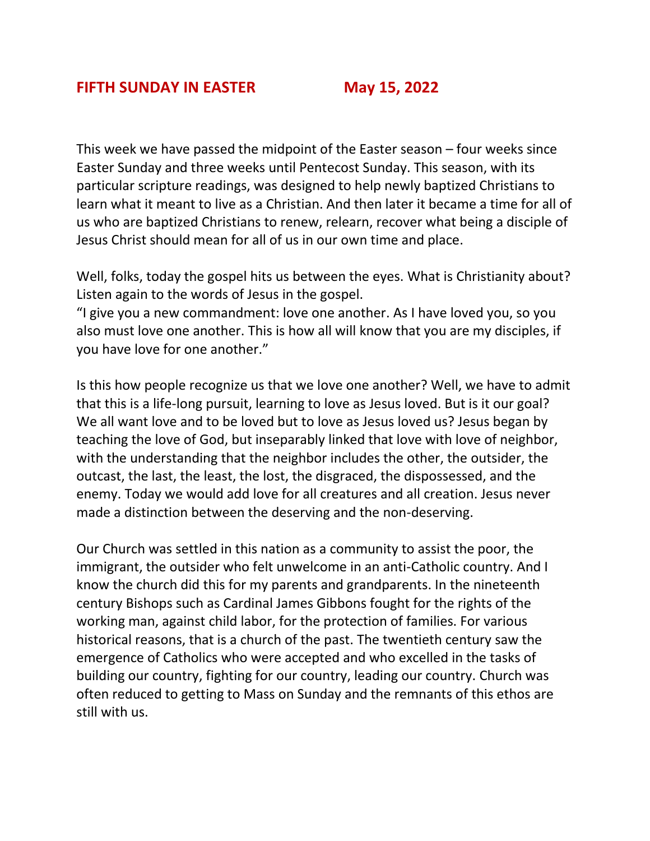This week we have passed the midpoint of the Easter season – four weeks since Easter Sunday and three weeks until Pentecost Sunday. This season, with its particular scripture readings, was designed to help newly baptized Christians to learn what it meant to live as a Christian. And then later it became a time for all of us who are baptized Christians to renew, relearn, recover what being a disciple of Jesus Christ should mean for all of us in our own time and place.

Well, folks, today the gospel hits us between the eyes. What is Christianity about? Listen again to the words of Jesus in the gospel.

"I give you a new commandment: love one another. As I have loved you, so you also must love one another. This is how all will know that you are my disciples, if you have love for one another."

Is this how people recognize us that we love one another? Well, we have to admit that this is a life-long pursuit, learning to love as Jesus loved. But is it our goal? We all want love and to be loved but to love as Jesus loved us? Jesus began by teaching the love of God, but inseparably linked that love with love of neighbor, with the understanding that the neighbor includes the other, the outsider, the outcast, the last, the least, the lost, the disgraced, the dispossessed, and the enemy. Today we would add love for all creatures and all creation. Jesus never made a distinction between the deserving and the non-deserving.

Our Church was settled in this nation as a community to assist the poor, the immigrant, the outsider who felt unwelcome in an anti-Catholic country. And I know the church did this for my parents and grandparents. In the nineteenth century Bishops such as Cardinal James Gibbons fought for the rights of the working man, against child labor, for the protection of families. For various historical reasons, that is a church of the past. The twentieth century saw the emergence of Catholics who were accepted and who excelled in the tasks of building our country, fighting for our country, leading our country. Church was often reduced to getting to Mass on Sunday and the remnants of this ethos are still with us.